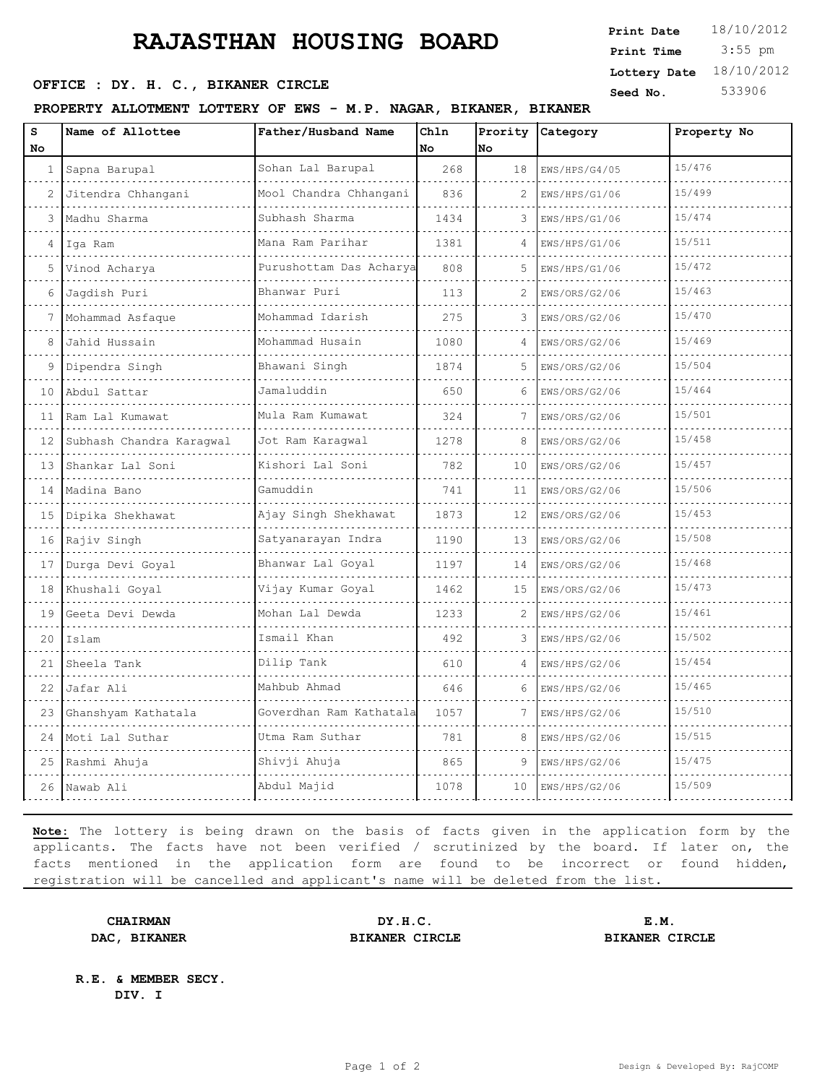# **RAJASTHAN HOUSING BOARD** Frint Pate 18/10/201

OFFICE : DY. H. C., BIKANER CIRCLE

#### PROPERTY ALLOTMENT LOTTERY OF EWS - M.P. NAGAR, B

| rji vij                 | Print Time              | 3:55 pm |
|-------------------------|-------------------------|---------|
|                         | Lottery Date 18/10/2012 |         |
|                         | Seed No.                | 533906  |
| <b>BIKANER, BIKANER</b> |                         |         |

**Print Date**  $18/10/2012$ 

| S<br>No      | Name of Allottee         | Father/Husband Name          | Chln<br>No | Prority<br>No | Category           | Property No |
|--------------|--------------------------|------------------------------|------------|---------------|--------------------|-------------|
| $\mathbf{1}$ | Sapna Barupal            | Sohan Lal Barupal            | 268        | 18            | EWS/HPS/G4/05      | 15/476      |
| 2            | Jitendra Chhangani       | .<br>Mool Chandra Chhangani  | 836        | 2             | .<br>EWS/HPS/G1/06 | 15/499      |
| 3            | Madhu Sharma             | Subhash Sharma               | 1434       | 3             | EWS/HPS/G1/06      | 15/474      |
| 4            | Iqa Ram                  | Mana Ram Parihar             | 1381       | 4             | EWS/HPS/G1/06      | 15/511      |
| 5            | Vinod Acharya            | .<br>Purushottam Das Acharya | 808        | 5             | EWS/HPS/G1/06      | 15/472      |
| 6            | Jagdish Puri             | Bhanwar Puri                 | 113        | 2             | EWS/ORS/G2/06      | 15/463      |
| 7            | Mohammad Asfaque         | Mohammad Idarish<br>.        | 275        | 3             | EWS/ORS/G2/06      | 15/470      |
| 8            | Jahid Hussain            | Mohammad Husain              | 1080       |               | EWS/ORS/G2/06      | 15/469      |
| 9            | Dipendra Singh           | Bhawani Singh                | 1874       | 5             | EWS/ORS/G2/06      | 15/504      |
| 10           | Abdul Sattar             | Jamaluddin                   | 650        | 6             | EWS/ORS/G2/06      | 15/464      |
| 11           | Ram Lal Kumawat          | Mula Ram Kumawat             | 324        | 7             | EWS/ORS/G2/06      | 15/501      |
| 12           | Subhash Chandra Karagwal | Jot Ram Karagwal             | 1278       | 8             | EWS/ORS/G2/06      | 15/458      |
| 13           | Shankar Lal Soni         | Kishori Lal Soni             | 782        | 10            | EWS/ORS/G2/06      | 15/457      |
|              | 14 Madina Bano           | Gamuddin                     | 741        | 11            | EWS/ORS/G2/06      | 15/506      |
| 15           | Dipika Shekhawat         | Ajay Singh Shekhawat         | 1873       | 12            | EWS/ORS/G2/06      | 15/453      |
|              | 16 Rajiv Singh           | Satyanarayan Indra           | 1190       | 13            | EWS/ORS/G2/06      | 15/508      |
| 17           | Durga Devi Goyal         | Bhanwar Lal Goyal            | 1197       | 14            | EWS/ORS/G2/06      | 15/468      |
| 18           | Khushali Goyal           | Vijay Kumar Goyal            | 1462       | 15            | EWS/ORS/G2/06      | 15/473      |
| 19           | Geeta Devi Dewda         | Mohan Lal Dewda              | 1233       | 2             | EWS/HPS/G2/06      | 15/461      |
| 20           | Islam                    | Ismail Khan                  | 492        | 3             | EWS/HPS/G2/06      | 15/502      |
| 21           | Sheela Tank              | Dilip Tank                   | 610        |               | EWS/HPS/G2/06      | 15/454      |
| 22           | Jafar Ali                | Mahbub Ahmad                 | 646        | 6             | EWS/HPS/G2/06      | 15/465      |
| 23           | Ghanshyam Kathatala      | Goverdhan Ram Kathatala      | 1057       | 7             | EWS/HPS/G2/06      | 15/510      |
| 24           | Moti Lal Suthar          | Utma Ram Suthar              | 781        | 8             | EWS/HPS/G2/06      | 15/515      |
|              | 25 Rashmi Ahuja          | Shivji Ahuja                 | 865        | 9             | EWS/HPS/G2/06      | 15/475      |
| 26           | Nawab Ali                | Abdul Majid                  | 1078       | $10^{-}$      | EWS/HPS/G2/06      | 15/509      |

**Note:** The lottery is being drawn on the basis of facts given in the application form by the applicants. The facts have not been verified / scrutinized by the board. If later on, the facts mentioned in the application form are found to be incorrect or found hidden, registration will be cancelled and applicant's name will be deleted from the list.

**CHAIRMAN DY.H.C. E.M. DAC, BIKANER BIKANER CIRCLE BIKANER CIRCLE**

**R.E. & MEMBER SECY. DIV. I**